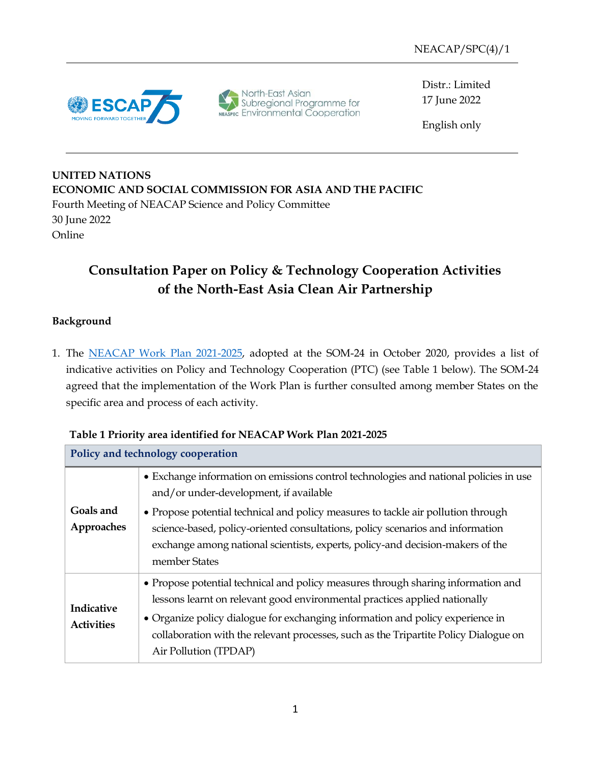

North-East Asian<br>Subregional Programme for<br>NEASPEC Environmental Cooperation

Distr.: Limited 17 June 2022

English only

**UNITED NATIONS ECONOMIC AND SOCIAL COMMISSION FOR ASIA AND THE PACIFIC** Fourth Meeting of NEACAP Science and Policy Committee 30 June 2022 Online

## **Consultation Paper on Policy & Technology Cooperation Activities of the North-East Asia Clean Air Partnership**

## **Background**

1. The [NEACAP Work Plan 2021-2025,](https://www.neaspec.org/sites/default/files/NEACAP%20Work%20Plan%202021-2025_0.pdf) adopted at the SOM-24 in October 2020, provides a list of indicative activities on Policy and Technology Cooperation (PTC) (see Table 1 below). The SOM-24 agreed that the implementation of the Work Plan is further consulted among member States on the specific area and process of each activity.

| Policy and technology cooperation |                                                                                                                                                                                                                                                                                                                                                                                                           |  |  |
|-----------------------------------|-----------------------------------------------------------------------------------------------------------------------------------------------------------------------------------------------------------------------------------------------------------------------------------------------------------------------------------------------------------------------------------------------------------|--|--|
| Goals and<br>Approaches           | • Exchange information on emissions control technologies and national policies in use<br>and/or under-development, if available<br>• Propose potential technical and policy measures to tackle air pollution through<br>science-based, policy-oriented consultations, policy scenarios and information<br>exchange among national scientists, experts, policy-and decision-makers of the<br>member States |  |  |
| Indicative<br><b>Activities</b>   | • Propose potential technical and policy measures through sharing information and<br>lessons learnt on relevant good environmental practices applied nationally<br>• Organize policy dialogue for exchanging information and policy experience in<br>collaboration with the relevant processes, such as the Tripartite Policy Dialogue on<br>Air Pollution (TPDAP)                                        |  |  |

## **Table 1 Priority area identified for NEACAP Work Plan 2021-2025**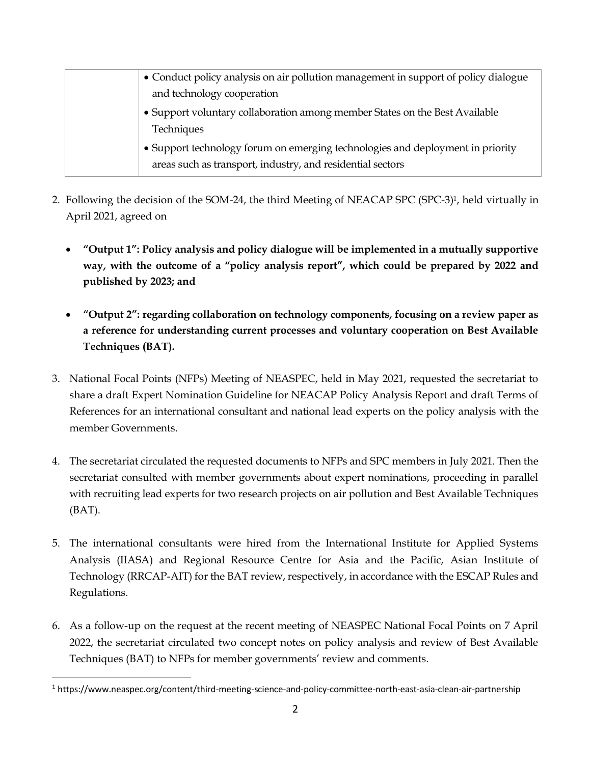| • Conduct policy analysis on air pollution management in support of policy dialogue                                                          |
|----------------------------------------------------------------------------------------------------------------------------------------------|
| and technology cooperation                                                                                                                   |
| • Support voluntary collaboration among member States on the Best Available<br>Techniques                                                    |
| • Support technology forum on emerging technologies and deployment in priority<br>areas such as transport, industry, and residential sectors |
|                                                                                                                                              |

- 2. Following the decision of the SOM-24, the third Meeting of NEACAP SPC (SPC-3)1, held virtually in April 2021, agreed on
	- **"Output 1": Policy analysis and policy dialogue will be implemented in a mutually supportive way, with the outcome of a "policy analysis report", which could be prepared by 2022 and published by 2023; and**
	- **"Output 2": regarding collaboration on technology components, focusing on a review paper as a reference for understanding current processes and voluntary cooperation on Best Available Techniques (BAT).**
- 3. National Focal Points (NFPs) Meeting of NEASPEC, held in May 2021, requested the secretariat to share a draft Expert Nomination Guideline for NEACAP Policy Analysis Report and draft Terms of References for an international consultant and national lead experts on the policy analysis with the member Governments.
- 4. The secretariat circulated the requested documents to NFPs and SPC members in July 2021. Then the secretariat consulted with member governments about expert nominations, proceeding in parallel with recruiting lead experts for two research projects on air pollution and Best Available Techniques (BAT).
- 5. The international consultants were hired from the International Institute for Applied Systems Analysis (IIASA) and Regional Resource Centre for Asia and the Pacific, Asian Institute of Technology (RRCAP-AIT) for the BAT review, respectively, in accordance with the ESCAP Rules and Regulations.
- 6. As a follow-up on the request at the recent meeting of NEASPEC National Focal Points on 7 April 2022, the secretariat circulated two concept notes on policy analysis and review of Best Available Techniques (BAT) to NFPs for member governments' review and comments.

<sup>1</sup> https://www.neaspec.org/content/third-meeting-science-and-policy-committee-north-east-asia-clean-air-partnership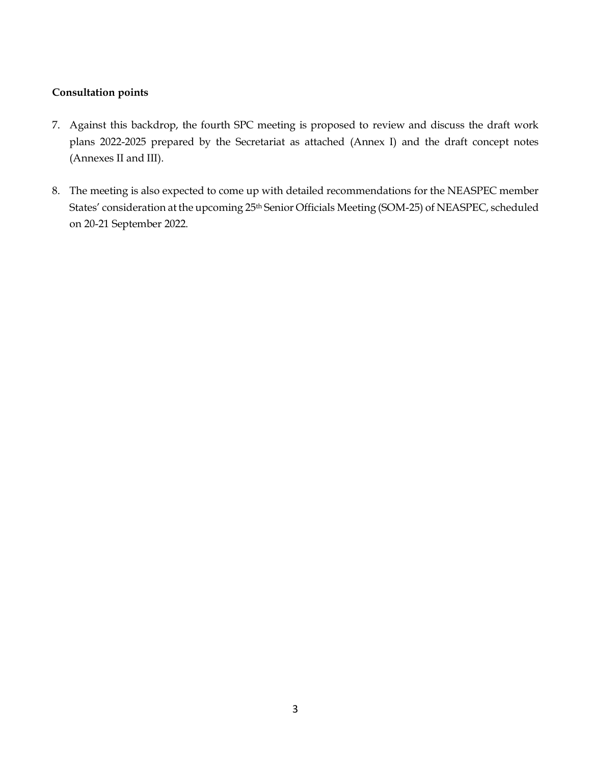#### **Consultation points**

- 7. Against this backdrop, the fourth SPC meeting is proposed to review and discuss the draft work plans 2022-2025 prepared by the Secretariat as attached (Annex I) and the draft concept notes (Annexes II and III).
- 8. The meeting is also expected to come up with detailed recommendations for the NEASPEC member States' consideration at the upcoming 25<sup>th</sup> Senior Officials Meeting (SOM-25) of NEASPEC, scheduled on 20-21 September 2022.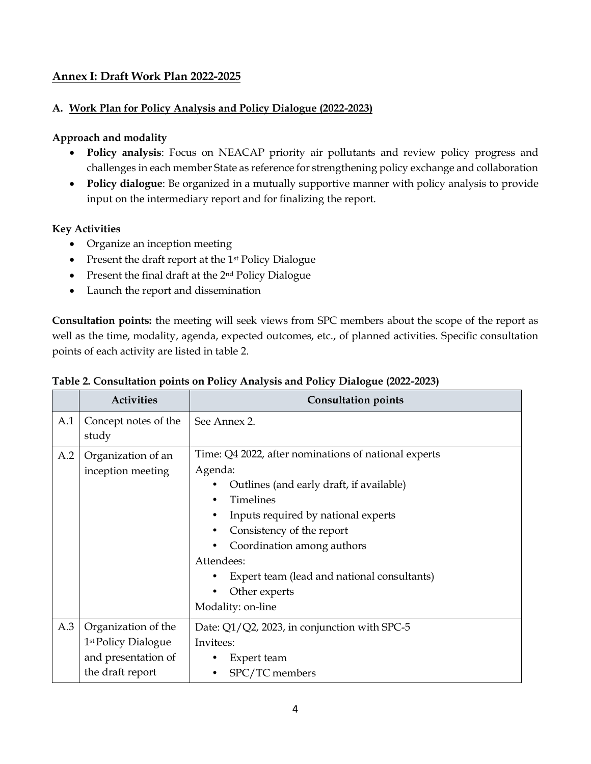## **Annex I: Draft Work Plan 2022-2025**

#### **A. Work Plan for Policy Analysis and Policy Dialogue (2022-2023)**

#### **Approach and modality**

- **Policy analysis**: Focus on NEACAP priority air pollutants and review policy progress and challenges in each member State as reference for strengthening policy exchange and collaboration
- **Policy dialogue**: Be organized in a mutually supportive manner with policy analysis to provide input on the intermediary report and for finalizing the report.

#### **Key Activities**

- Organize an inception meeting
- Present the draft report at the 1<sup>st</sup> Policy Dialogue
- Present the final draft at the 2<sup>nd</sup> Policy Dialogue
- Launch the report and dissemination

**Consultation points:** the meeting will seek views from SPC members about the scope of the report as well as the time, modality, agenda, expected outcomes, etc., of planned activities. Specific consultation points of each activity are listed in table 2.

|     | <b>Activities</b>               | <b>Consultation points</b>                           |
|-----|---------------------------------|------------------------------------------------------|
| A.1 | Concept notes of the            | See Annex 2.                                         |
|     | study                           |                                                      |
| A.2 | Organization of an              | Time: Q4 2022, after nominations of national experts |
|     | inception meeting               | Agenda:                                              |
|     |                                 | Outlines (and early draft, if available)             |
|     |                                 | <b>Timelines</b>                                     |
|     |                                 | Inputs required by national experts                  |
|     |                                 | Consistency of the report                            |
|     |                                 | Coordination among authors                           |
|     |                                 | Attendees:                                           |
|     |                                 | Expert team (lead and national consultants)          |
|     |                                 | Other experts                                        |
|     |                                 | Modality: on-line                                    |
| A.3 | Organization of the             | Date: Q1/Q2, 2023, in conjunction with SPC-5         |
|     | 1 <sup>st</sup> Policy Dialogue | Invitees:                                            |
|     | and presentation of             | Expert team                                          |
|     | the draft report                | SPC/TC members                                       |

#### **Table 2. Consultation points on Policy Analysis and Policy Dialogue (2022-2023)**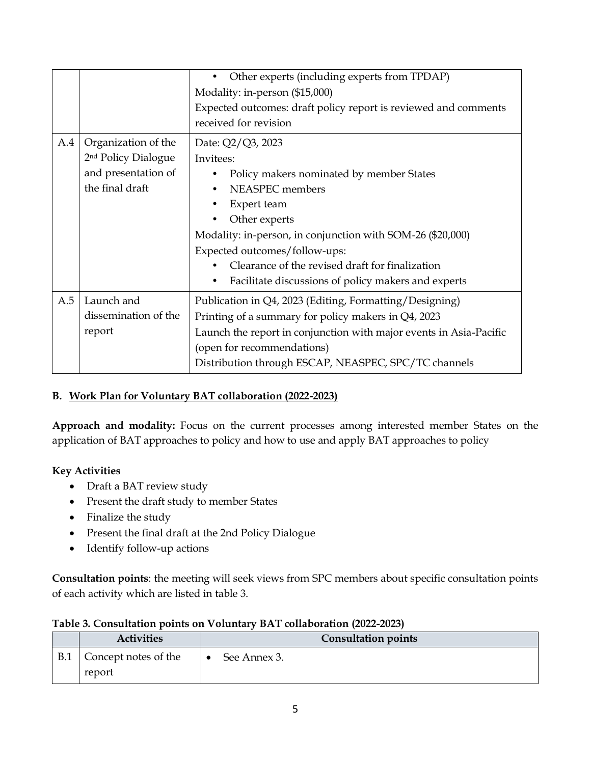|     |                                                                                                  | Other experts (including experts from TPDAP)<br>Modality: in-person (\$15,000)<br>Expected outcomes: draft policy report is reviewed and comments<br>received for revision                                                                                                                                                                  |  |
|-----|--------------------------------------------------------------------------------------------------|---------------------------------------------------------------------------------------------------------------------------------------------------------------------------------------------------------------------------------------------------------------------------------------------------------------------------------------------|--|
| A.4 | Organization of the<br>2 <sup>nd</sup> Policy Dialogue<br>and presentation of<br>the final draft | Date: Q2/Q3, 2023<br>Invitees:<br>Policy makers nominated by member States<br>NEASPEC members<br>Expert team<br>Other experts<br>Modality: in-person, in conjunction with SOM-26 (\$20,000)<br>Expected outcomes/follow-ups:<br>Clearance of the revised draft for finalization<br>Facilitate discussions of policy makers and experts<br>٠ |  |
| A.5 | Launch and<br>dissemination of the<br>report                                                     | Publication in Q4, 2023 (Editing, Formatting/Designing)<br>Printing of a summary for policy makers in Q4, 2023<br>Launch the report in conjunction with major events in Asia-Pacific<br>(open for recommendations)<br>Distribution through ESCAP, NEASPEC, SPC/TC channels                                                                  |  |

## **B. Work Plan for Voluntary BAT collaboration (2022-2023)**

**Approach and modality:** Focus on the current processes among interested member States on the application of BAT approaches to policy and how to use and apply BAT approaches to policy

#### **Key Activities**

- Draft a BAT review study
- Present the draft study to member States
- Finalize the study
- Present the final draft at the 2nd Policy Dialogue
- Identify follow-up actions

**Consultation points**: the meeting will seek views from SPC members about specific consultation points of each activity which are listed in table 3.

|            | .                              |                            |
|------------|--------------------------------|----------------------------|
|            | <b>Activities</b>              | <b>Consultation points</b> |
| <b>B.1</b> | Concept notes of the<br>report | See Annex 3.<br>$\bullet$  |

#### **Table 3. Consultation points on Voluntary BAT collaboration (2022-2023)**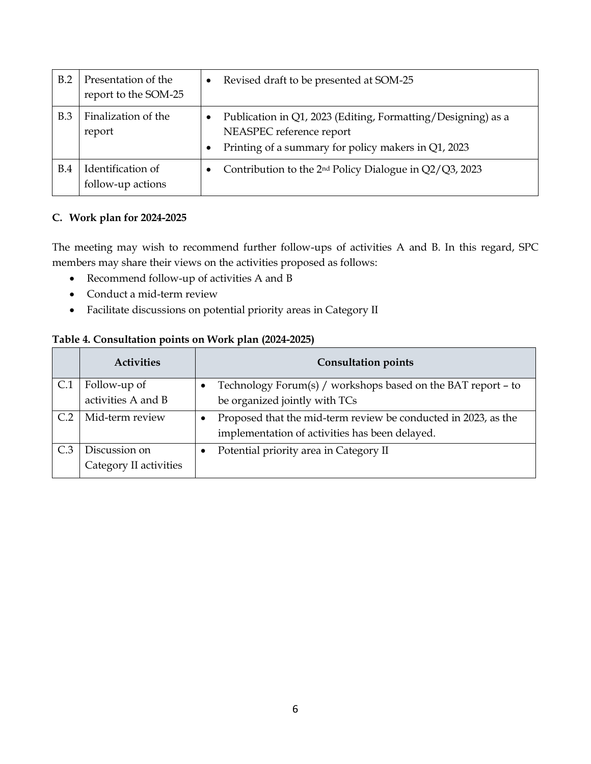| B.2        | Presentation of the<br>report to the SOM-25 | $\bullet$ | Revised draft to be presented at SOM-25                                                                                                         |
|------------|---------------------------------------------|-----------|-------------------------------------------------------------------------------------------------------------------------------------------------|
| B.3        | Finalization of the<br>report               |           | Publication in Q1, 2023 (Editing, Formatting/Designing) as a<br>NEASPEC reference report<br>Printing of a summary for policy makers in Q1, 2023 |
| <b>B.4</b> | Identification of<br>follow-up actions      |           | Contribution to the $2nd$ Policy Dialogue in $Q2/Q3$ , 2023                                                                                     |

## **C. Work plan for 2024-2025**

The meeting may wish to recommend further follow-ups of activities A and B. In this regard, SPC members may share their views on the activities proposed as follows:

- Recommend follow-up of activities A and B
- Conduct a mid-term review
- Facilitate discussions on potential priority areas in Category II

#### **Table 4. Consultation points on Work plan (2024-2025)**

|     | <b>Activities</b>      | <b>Consultation points</b>                                     |
|-----|------------------------|----------------------------------------------------------------|
|     | Follow-up of           | Technology Forum(s) / workshops based on the BAT report - to   |
|     | activities A and B     | be organized jointly with TCs                                  |
| C.2 | Mid-term review        | Proposed that the mid-term review be conducted in 2023, as the |
|     |                        | implementation of activities has been delayed.                 |
|     | Discussion on          | Potential priority area in Category II                         |
|     | Category II activities |                                                                |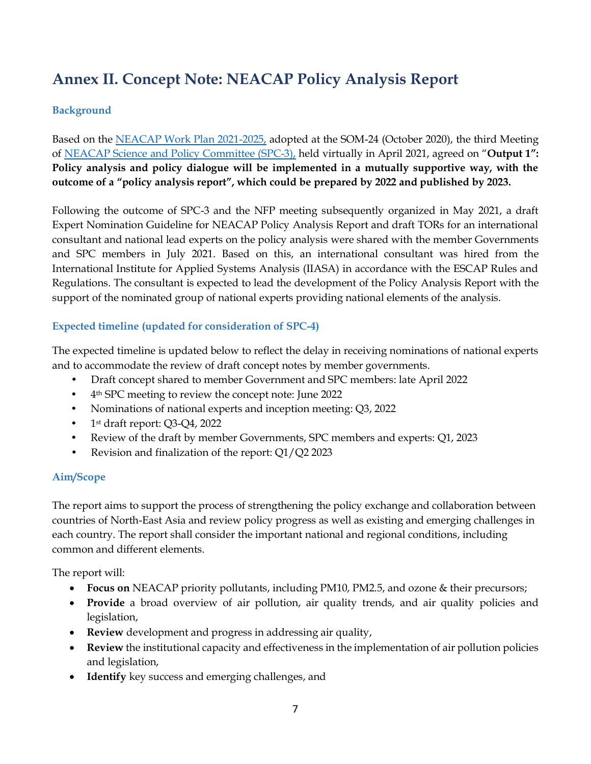# **Annex II. Concept Note: NEACAP Policy Analysis Report**

## **Background**

Based on the [NEACAP Work Plan 2021-2025,](https://www.neaspec.org/sites/default/files/NEACAP%20Work%20Plan%202021-2025_0.pdf) adopted at the SOM-24 (October 2020), the third Meeting of NEACAP [Science and Policy Committee \(SPC-3\),](https://www.neaspec.org/article/third-meeting-science-and-policy-committee-north-east-asia-clean-air-partnership) held virtually in April 2021, agreed on "**Output 1": Policy analysis and policy dialogue will be implemented in a mutually supportive way, with the outcome of a "policy analysis report", which could be prepared by 2022 and published by 2023.** 

Following the outcome of SPC-3 and the NFP meeting subsequently organized in May 2021, a draft Expert Nomination Guideline for NEACAP Policy Analysis Report and draft TORs for an international consultant and national lead experts on the policy analysis were shared with the member Governments and SPC members in July 2021. Based on this, an international consultant was hired from the International Institute for Applied Systems Analysis (IIASA) in accordance with the ESCAP Rules and Regulations. The consultant is expected to lead the development of the Policy Analysis Report with the support of the nominated group of national experts providing national elements of the analysis.

## **Expected timeline (updated for consideration of SPC-4)**

The expected timeline is updated below to reflect the delay in receiving nominations of national experts and to accommodate the review of draft concept notes by member governments.

- Draft concept shared to member Government and SPC members: late April 2022
- 4th SPC meeting to review the concept note: June 2022
- Nominations of national experts and inception meeting: Q3, 2022
- 1st draft report: Q3-Q4, 2022
- Review of the draft by member Governments, SPC members and experts: Q1, 2023
- Revision and finalization of the report: Q1/Q2 2023

#### **Aim/Scope**

The report aims to support the process of strengthening the policy exchange and collaboration between countries of North-East Asia and review policy progress as well as existing and emerging challenges in each country. The report shall consider the important national and regional conditions, including common and different elements.

The report will:

- **Focus on** NEACAP priority pollutants, including PM10, PM2.5, and ozone & their precursors;
- **Provide** a broad overview of air pollution, air quality trends, and air quality policies and legislation,
- **Review** development and progress in addressing air quality,
- **Review** the institutional capacity and effectiveness in the implementation of air pollution policies and legislation,
- **Identify** key success and emerging challenges, and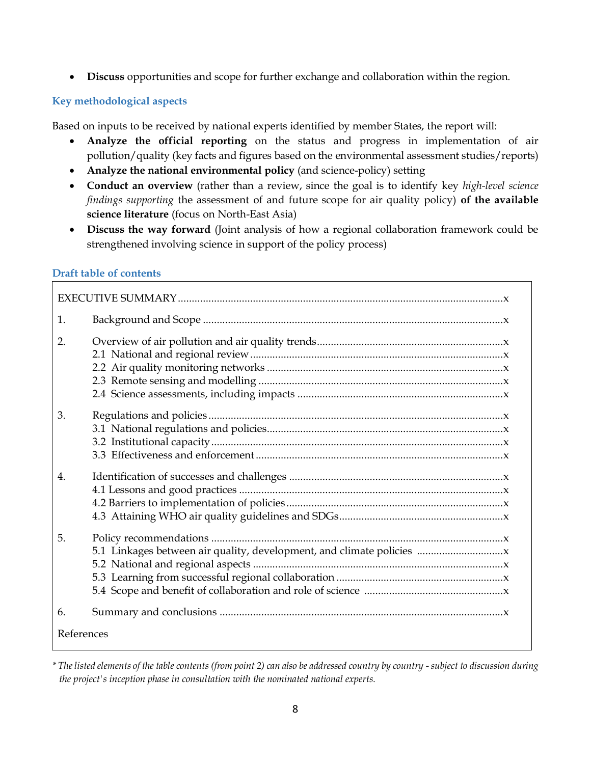• **Discuss** opportunities and scope for further exchange and collaboration within the region.

#### **Key methodological aspects**

Based on inputs to be received by national experts identified by member States, the report will:

- **Analyze the official reporting** on the status and progress in implementation of air pollution/quality (key facts and figures based on the environmental assessment studies/reports)
- **Analyze the national environmental policy** (and science-policy) setting
- **Conduct an overview** (rather than a review, since the goal is to identify key *high-level science findings supporting* the assessment of and future scope for air quality policy) **of the available science literature** (focus on North-East Asia)
- **Discuss the way forward** (Joint analysis of how a regional collaboration framework could be strengthened involving science in support of the policy process)

#### **Draft table of contents**

| 1.         |  |
|------------|--|
| 2.         |  |
| 3.         |  |
| 4.         |  |
| 5.         |  |
| 6.         |  |
| References |  |

*\* The listed elements of the table contents (from point 2) can also be addressed country by country -subject to discussion during the project's inception phase in consultation with the nominated national experts.*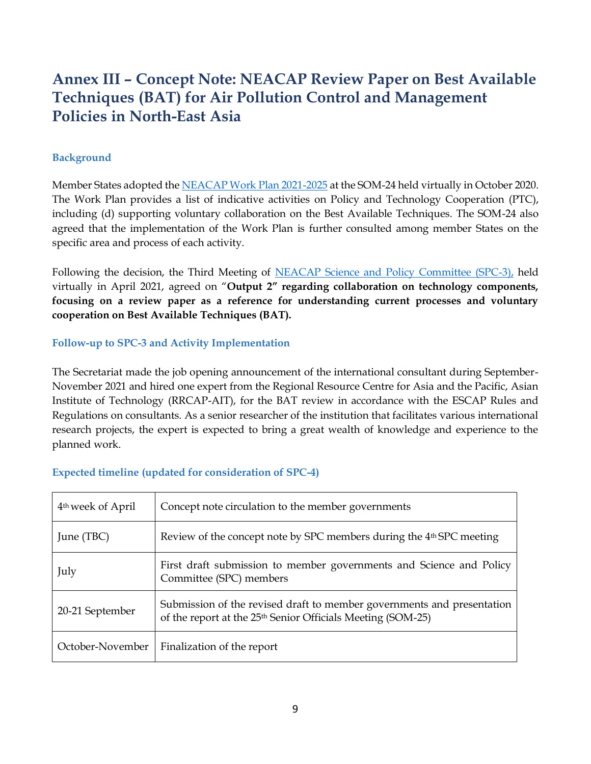## **Annex III – Concept Note: NEACAP Review Paper on Best Available Techniques (BAT) for Air Pollution Control and Management Policies in North-East Asia**

#### **Background**

Member States adopted th[e NEACAP Work Plan 2021-2025](https://www.neaspec.org/sites/default/files/NEACAP%20Work%20Plan%202021-2025_0.pdf) at the SOM-24 held virtually in October 2020. The Work Plan provides a list of indicative activities on Policy and Technology Cooperation (PTC), including (d) supporting voluntary collaboration on the Best Available Techniques. The SOM-24 also agreed that the implementation of the Work Plan is further consulted among member States on the specific area and process of each activity.

Following the decision, the Third Meeting of [NEACAP Science and Policy Committee \(SPC-3\),](https://www.neaspec.org/article/third-meeting-science-and-policy-committee-north-east-asia-clean-air-partnership) held virtually in April 2021, agreed on "**Output 2" regarding collaboration on technology components, focusing on a review paper as a reference for understanding current processes and voluntary cooperation on Best Available Techniques (BAT).**

#### **Follow-up to SPC-3 and Activity Implementation**

The Secretariat made the job opening announcement of the international consultant during September-November 2021 and hired one expert from the Regional Resource Centre for Asia and the Pacific, Asian Institute of Technology (RRCAP-AIT), for the BAT review in accordance with the ESCAP Rules and Regulations on consultants. As a senior researcher of the institution that facilitates various international research projects, the expert is expected to bring a great wealth of knowledge and experience to the planned work.

|  | <b>Expected timeline (updated for consideration of SPC-4)</b> |  |
|--|---------------------------------------------------------------|--|

| 4 <sup>th</sup> week of April | Concept note circulation to the member governments                                                                                                |
|-------------------------------|---------------------------------------------------------------------------------------------------------------------------------------------------|
| June (TBC)                    | Review of the concept note by SPC members during the 4 <sup>th</sup> SPC meeting                                                                  |
| July                          | First draft submission to member governments and Science and Policy<br>Committee (SPC) members                                                    |
| 20-21 September               | Submission of the revised draft to member governments and presentation<br>of the report at the 25 <sup>th</sup> Senior Officials Meeting (SOM-25) |
| October-November              | Finalization of the report                                                                                                                        |